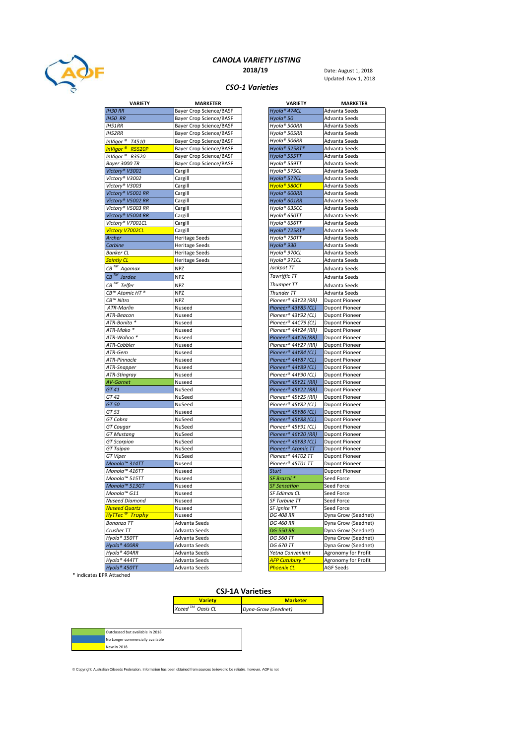

## CANOLA VARIETY LISTING

**2018/19** Date: August 1, 2018 Updated: Nov 1, 2018

#### CSO-1 Varieties

| <b>VARIETY</b>               | <b>MARKETER</b>                | <b>VARIETY</b>           | <b>MARKETER</b>       |
|------------------------------|--------------------------------|--------------------------|-----------------------|
| <b>IH30 RR</b>               | <b>Bayer Crop Science/BASF</b> | Hyola <sup>®</sup> 474CL | Advanta Seeds         |
| <b>IH50 RR</b>               | <b>Bayer Crop Science/BASF</b> | Hyola® 50                | Advanta Seeds         |
| <b>IH51RR</b>                | <b>Bayer Crop Science/BASF</b> | Hyola® 500RR             | Advanta Seeds         |
| <b>IH52RR</b>                | <b>Bayer Crop Science/BASF</b> | Hyola® 505RR             | Advanta Seeds         |
| InVigor <sup>®</sup> T4510   | <b>Bayer Crop Science/BASF</b> | Hyola® 506RR             | Advanta Seeds         |
| InVigor <sup>®</sup> R5520P  | <b>Bayer Crop Science/BASF</b> | Hyola® 525RT®            | Advanta Seeds         |
| InVigor <sup>®</sup> R3520   | <b>Bayer Crop Science/BASF</b> | Hyola® 555TT             | Advanta Seeds         |
| Bayer 3000 TR                | <b>Bayer Crop Science/BASF</b> | Hyola® 559TT             | Advanta Seeds         |
| Victory® V3001               | Cargill                        | Hyola® 575CL             | Advanta Seeds         |
| Victory® V3002               | Cargill                        | Hyola® 577CL             | Advanta Seeds         |
| Victory® V3003               | Cargill                        | Hyola® 580CT             | Advanta Seeds         |
| Victory® V5001 RR            | Cargill                        | Hvola® 600RR             | Advanta Seeds         |
| Victory® V5002 RR            | Cargill                        | Hyola® 601RR             | Advanta Seeds         |
| Victory® V5003 RR            | Cargill                        | Hyola® 635CC             | Advanta Seeds         |
| Victory® V5004 RR            | Cargill                        | Hyola® 650TT             | Advanta Seeds         |
| Victory® V7001CL             | Cargill                        | Hyola® 656TT             | Advanta Seeds         |
| <b>Victory V7002CL</b>       | Cargill                        | Hyola® 725RT®            | Advanta Seeds         |
| Archer                       | <b>Heritage Seeds</b>          | Hyola® 750TT             | Advanta Seeds         |
| Carbine                      | <b>Heritage Seeds</b>          | Hyola <sup>®</sup> 930   | Advanta Seeds         |
| <b>Banker CL</b>             | <b>Heritage Seeds</b>          | Hyola® 970CL             | Advanta Seeds         |
| <b>Saintly CL</b>            | <b>Heritage Seeds</b>          | Hyola® 971CL             | Advanta Seeds         |
| CB <sup>™</sup> Agamax       | NPZ                            | Jackpot TT               | Advanta Seeds         |
| $CB$ <sup>TM</sup> Jardee    | NPZ                            | <b>Tawriffic TT</b>      | Advanta Seeds         |
|                              |                                |                          |                       |
| $CB^{TM}$ Telfer             | NPZ                            | Thumper TT               | Advanta Seeds         |
| CB™ Atomic HT®               | <b>NPZ</b>                     | Thunder TT               | Advanta Seeds         |
| CB™ Nitro                    | NPZ                            | Pioneer® 43Y23 (RR)      | Dupont Pioneer        |
| <b>ATR-Marlin</b>            | Nuseed                         | Pioneer® 43Y85 (CL)      | <b>Dupont Pioneer</b> |
| ATR-Beacon                   | Nuseed                         | Pioneer® 43Y92 (CL)      | <b>Dupont Pioneer</b> |
| ATR-Bonito *                 | Nuseed                         | Pioneer® 44C79 (CL)      | <b>Dupont Pioneer</b> |
| ATR-Mako *                   | Nuseed                         | Pioneer® 44Y24 (RR)      | <b>Dupont Pioneer</b> |
| ATR-Wahoo *                  | Nuseed                         | Pioneer® 44Y26 (RR)      | Dupont Pioneer        |
| ATR-Cobbler                  | Nuseed                         | Pioneer® 44Y27 (RR)      | <b>Dupont Pioneer</b> |
| ATR-Gem                      | Nuseed                         | Pioneer® 44Y84 (CL)      | <b>Dupont Pioneer</b> |
| ATR-Pinnacle                 | Nuseed                         | Pioneer® 44Y87 (CL)      | <b>Dupont Pioneer</b> |
| ATR-Snapper                  | Nuseed                         | Pioneer® 44Y89 (CL)      | <b>Dupont Pioneer</b> |
| ATR-Stingray                 | Nuseed                         | Pioneer® 44Y90 (CL)      | Dupont Pioneer        |
| <b>AV-Garnet</b>             | Nuseed                         | Pioneer® 45Y21 (RR)      | <b>Dupont Pioneer</b> |
| GT 41                        | NuSeed                         | Pioneer® 45Y22 (RR)      | <b>Dupont Pioneer</b> |
| GT 42                        | NuSeed                         | Pioneer® 45Y25 (RR)      | <b>Dupont Pioneer</b> |
| GT 50                        | NuSeed                         | Pioneer® 45Y82 (CL)      | <b>Dupont Pioneer</b> |
| GT 53                        | Nuseed                         | Pioneer® 45Y86 (CL)      | <b>Dupont Pioneer</b> |
| GT Cobra                     | NuSeed                         | Pioneer® 45Y88 (CL)      | <b>Dupont Pioneer</b> |
| GT Cougar                    | NuSeed                         | Pioneer® 45Y91 (CL)      | <b>Dupont Pioneer</b> |
| GT Mustang                   | NuSeed                         | Pioneer® 46Y20 (RR)      | <b>Dupont Pioneer</b> |
| <b>GT</b> Scorpion           | NuSeed                         | Pioneer® 46Y83 (CL)      | <b>Dupont Pioneer</b> |
| GT Taipan                    | NuSeed                         | Pioneer® Atomic TT       | Dupont Pioneer        |
| GT Viper                     | NuSeed                         | Pioneer® 44T02 TT        | <b>Dupont Pioneer</b> |
| Monola™ 314TT                | Nuseed                         | Pioneer® 45T01 TT        | <b>Dupont Pioneer</b> |
| Monola™ 416TT                | Nuseed                         | <b>Sturt</b>             | <b>Dupont Pioneer</b> |
| Monola™ 515TT                | Nuseed                         | SF Brazzil *             | Seed Force            |
| Monola™ 513GT                | Nuseed                         | <b>SF Sensation</b>      | Seed Force            |
| Monola™ G11                  | Nuseed                         | SF Edimax CL             | Seed Force            |
| Nuseed Diamond               | Nuseed                         | SF Turbine TT            | Seed Force            |
| <b>Nuseed Quartz</b>         | Nuseed                         | SF Ignite TT             | Seed Force            |
| <mark>НуТТес ® Trophy</mark> | Nuseed                         | <b>DG 408 RR</b>         | Dyna Grow (Seednet)   |
| Bonanza TT                   | Advanta Seeds                  | DG 460 RR                | Dyna Grow (Seednet)   |
| Crusher TT                   | Advanta Seeds                  | <b>DG 550 RR</b>         | Dyna Grow (Seednet)   |
| Hyola® 350TT                 | Advanta Seeds                  | <b>DG 560 TT</b>         | Dyna Grow (Seednet)   |
| Hyola <sup>®</sup> 400RR     | Advanta Seeds                  | DG 670 TT                | Dyna Grow (Seednet)   |
| Hyola® 404RR                 | Advanta Seeds                  | Yetna Convenient         | Agronomy for Profit   |
| Hyola® 444TT                 | Advanta Seeds                  | AFP Cutubury *           | Agronomy for Profit   |
| Hyola® 450TT                 | Advanta Seeds                  | Phoenix CL               | <b>AGF Seeds</b>      |

| <b>VARIETY</b>            | MARKETER                       |
|---------------------------|--------------------------------|
| Hyola <sup>®</sup> 474CL  | Advanta Seeds                  |
| Hyola® 50                 | Advanta Seeds                  |
| Hyola® 500RR              | Advanta Seeds                  |
| Hyola® 505RR              | Advanta Seeds                  |
| Hyola® 506RR              | Advanta Seeds                  |
| Hyola® 525RT®             | Advanta Seeds                  |
| Hyola® 555TT              | Advanta Seeds                  |
| Hyola® 559TT              | Advanta Seeds                  |
| Hyola® 575CL              | Advanta Seeds                  |
| Hyola <sup>®</sup> 577CL  | Advanta Seeds                  |
| <mark>Hyola® 580CT</mark> | Advanta Seeds                  |
| Hyola® 600RR              | Advanta Seeds                  |
| Hyola <sup>®</sup> 601RR  | Advanta Seeds                  |
| Hyola® 635CC              | Advanta Seeds                  |
| Hyola® 650TT              | Advanta Seeds                  |
| Hyola® 656TT              | Advanta Seeds                  |
| Hyola® 725RT®             | Advanta Seeds                  |
| Hyola® 750TT              | Advanta Seeds                  |
| Hyola® 930                |                                |
|                           | Advanta Seeds                  |
| Hyola® 970CL              | Advanta Seeds<br>Advanta Seeds |
| Hyola® 971CL              |                                |
| Jackpot TT                | Advanta Seeds                  |
| <b>Tawriffic TT</b>       | Advanta Seeds                  |
| <b>Thumper TT</b>         | Advanta Seeds                  |
| Thunder TT                | Advanta Seeds                  |
| Pioneer® 43Y23 (RR)       | Dupont Pioneer                 |
| Pioneer® 43Y85 (CL)       | <b>Dupont Pioneer</b>          |
| Pioneer® 43Y92 (CL)       | <b>Dupont Pioneer</b>          |
| Pioneer® 44C79 (CL)       | <b>Dupont Pioneer</b>          |
| Pioneer® 44Y24 (RR)       | <b>Dupont Pioneer</b>          |
| Pioneer® 44Y26 (RR)       | Dupont Pioneer                 |
| Pioneer® 44Y27 (RR)       | <b>Dupont Pioneer</b>          |
| Pioneer® 44Y84 (CL)       | <b>Dupont Pioneer</b>          |
| Pioneer® 44Y87 (CL)       | <b>Dupont Pioneer</b>          |
| Pioneer® 44Y89 (CL)       | <b>Dupont Pioneer</b>          |
| Pioneer® 44Y90 (CL)       | <b>Dupont Pioneer</b>          |
| Pioneer® 45Y21 (RR)       | <b>Dupont Pioneer</b>          |
| Pioneer® 45Y22 (RR)       | <b>Dupont Pioneer</b>          |
| Pioneer® 45Y25 (RR)       | <b>Dupont Pioneer</b>          |
| Pioneer® 45Y82 (CL)       | <b>Dupont Pioneer</b>          |
| Pioneer® 45Y86 (CL)       | <b>Dupont Pioneer</b>          |
| Pioneer® 45Y88 (CL)       | <b>Dupont Pioneer</b>          |
| Pioneer® 45Y91 (CL)       | <b>Dupont Pioneer</b>          |
| Pioneer® 46Y20 (RR)       | <b>Dupont Pioneer</b>          |
| Pioneer® 46Y83 (CL)       | <b>Dupont Pioneer</b>          |
| Pioneer® Atomic TT        | <b>Dupont Pioneer</b>          |
| Pioneer® 44T02 TT         | <b>Dupont Pioneer</b>          |
| Pioneer® 45T01 TT         | <b>Dupont Pioneer</b>          |
| Sturt                     | <b>Dupont Pioneer</b>          |
| SF Brazzil *              | Seed Force                     |
| <b>SF Sensation</b>       | Seed Force                     |
| SF Edimax CL              | Seed Force                     |
| SF Turbine TT             | Seed Force                     |
| SF Ignite TT              | Seed Force                     |
| <b>DG 408 RR</b>          | Dyna Grow (Seednet)            |
| DG 460 RR                 | Dyna Grow (Seednet)            |
| <b>DG 550 RR</b>          | Dyna Grow (Seednet)            |
| DG 560 TT                 | Dyna Grow (Seednet)            |
| DG 670 TT                 | Dyna Grow (Seednet)            |
| Yetna Convenient          | Agronomy for Profit            |
| <b>AFP Cutubury *</b>     | Agronomy for Profit            |
| <b>Phoenix CL</b>         | <b>AGF Seeds</b>               |

\* indicates EPR Attached

### CSJ-1A Varieties

| <b>Variety</b>                  | <b>Marketer</b>     |
|---------------------------------|---------------------|
| Xceed $^{\rm \tau\!M}$ Oasis CL | Dyna-Grow (Seednet) |

| Outclassed but available in 2018 |
|----------------------------------|
| No Longer commercially available |
| New in 2018                      |

© Copyright: Australian Oilseeds Federation. Information has been obtained from sources believed to be reliable, however, AOF is not